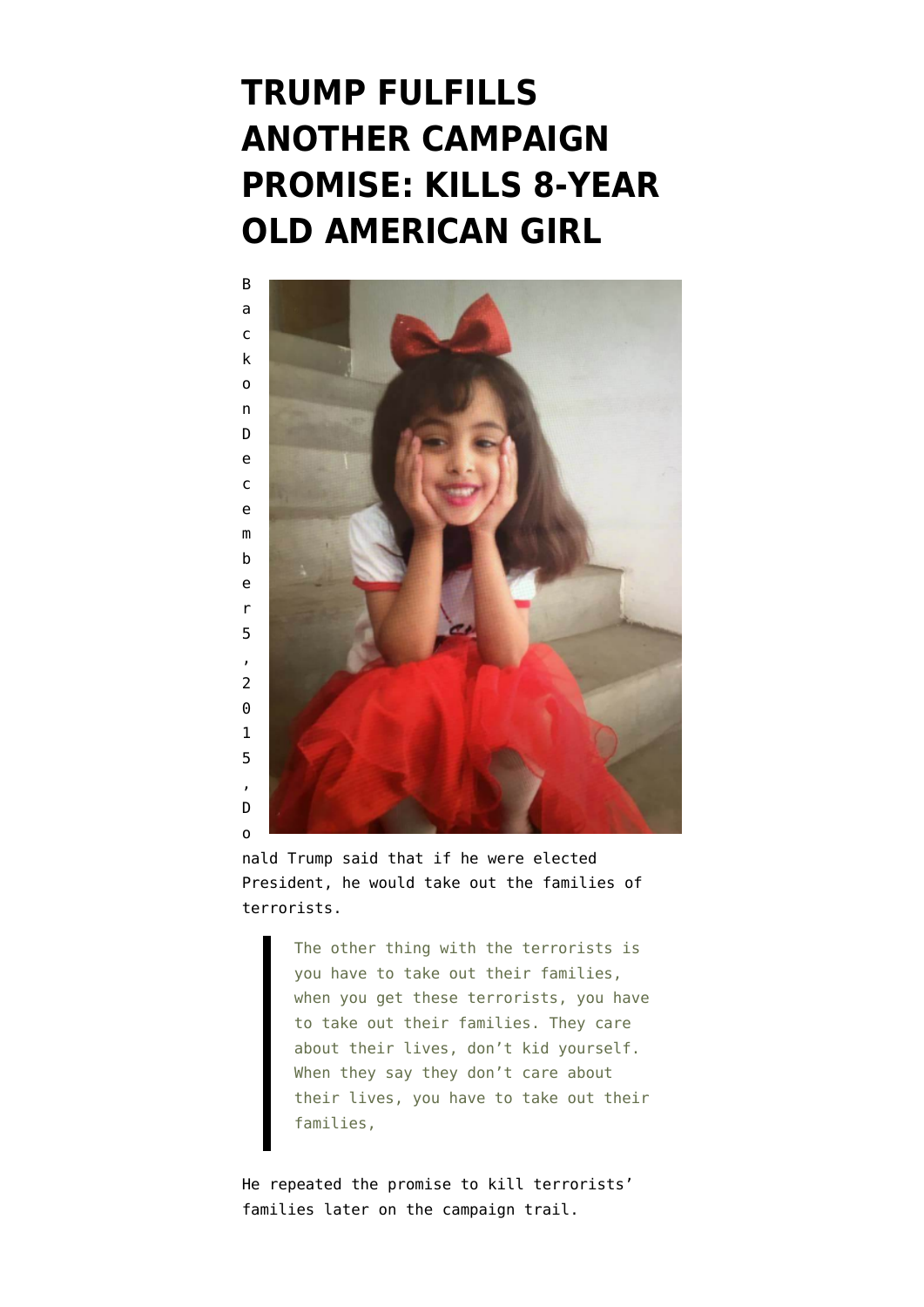## **[TRUMP FULFILLS](https://www.emptywheel.net/2017/01/31/trump-fulfills-another-campaign-promise-kills-8-year-old-american-girl/) [ANOTHER CAMPAIGN](https://www.emptywheel.net/2017/01/31/trump-fulfills-another-campaign-promise-kills-8-year-old-american-girl/) [PROMISE: KILLS 8-YEAR](https://www.emptywheel.net/2017/01/31/trump-fulfills-another-campaign-promise-kills-8-year-old-american-girl/) [OLD AMERICAN GIRL](https://www.emptywheel.net/2017/01/31/trump-fulfills-another-campaign-promise-kills-8-year-old-american-girl/)**



nald Trump [said](http://www.cnn.com/2015/12/02/politics/donald-trump-terrorists-families/) that if he were elected President, he would take out the families of terrorists.

> The other thing with the terrorists is you have to take out their families, when you get these terrorists, you have to take out their families. They care about their lives, don't kid yourself. When they say they don't care about their lives, you have to take out their families,

He repeated the promise to kill terrorists' families later on the campaign trail.